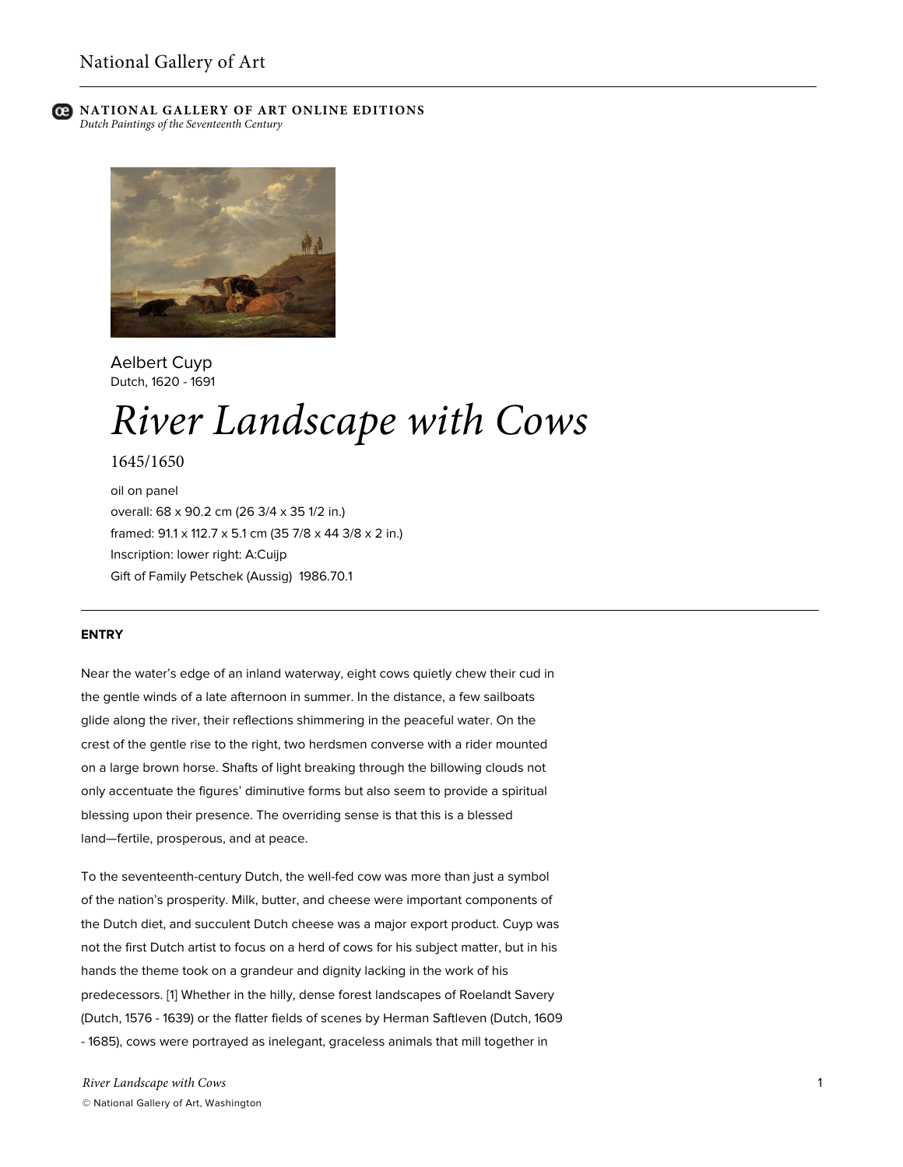



Aelbert Cuyp Dutch, 1620 - 1691

# *River Landscape with Cows*

1645/1650

oil on panel overall: 68 x 90.2 cm (26 3/4 x 35 1/2 in.) framed: 91.1 x 112.7 x 5.1 cm (35 7/8 x 44 3/8 x 2 in.) Inscription: lower right: A:Cuijp Gift of Family Petschek (Aussig) 1986.70.1

# **ENTRY**

Near the water's edge of an inland waterway, eight cows quietly chew their cud in the gentle winds of a late afternoon in summer. In the distance, a few sailboats glide along the river, their reflections shimmering in the peaceful water. On the crest of the gentle rise to the right, two herdsmen converse with a rider mounted on a large brown horse. Shafts of light breaking through the billowing clouds not only accentuate the figures' diminutive forms but also seem to provide a spiritual blessing upon their presence. The overriding sense is that this is a blessed land—fertile, prosperous, and at peace.

To the seventeenth-century Dutch, the well-fed cow was more than just a symbol of the nation's prosperity. Milk, butter, and cheese were important components of the Dutch diet, and succulent Dutch cheese was a major export product. Cuyp was not the first Dutch artist to focus on a herd of cows for his subject matter, but in his hands the theme took on a grandeur and dignity lacking in the work of his predecessors. [1] Whether in the hilly, dense forest landscapes of Roelandt Savery (Dutch, 1576 - 1639) or the flatter fields of scenes by Herman Saftleven (Dutch, 1609 - 1685), cows were portrayed as inelegant, graceless animals that mill together in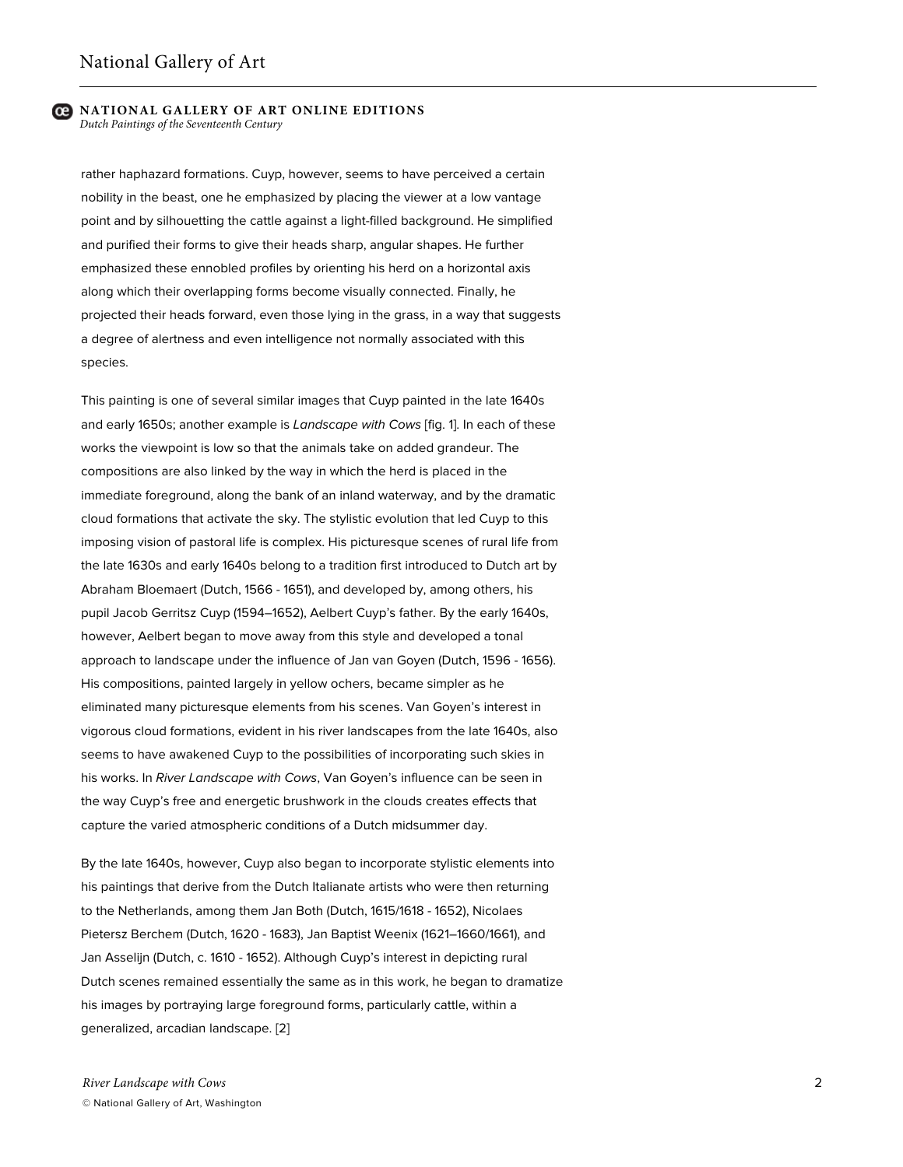rather haphazard formations. Cuyp, however, seems to have perceived a certain nobility in the beast, one he emphasized by placing the viewer at a low vantage point and by silhouetting the cattle against a light-filled background. He simplified and purified their forms to give their heads sharp, angular shapes. He further emphasized these ennobled profiles by orienting his herd on a horizontal axis along which their overlapping forms become visually connected. Finally, he projected their heads forward, even those lying in the grass, in a way that suggests a degree of alertness and even intelligence not normally associated with this species.

This painting is one of several similar images that Cuyp painted in the late 1640s and early 1650s; another example is *Landscape with Cows* [fig. 1]. In each of these works the viewpoint is low so that the animals take on added grandeur. The compositions are also linked by the way in which the herd is placed in the immediate foreground, along the bank of an inland waterway, and by the dramatic cloud formations that activate the sky. The stylistic evolution that led Cuyp to this imposing vision of pastoral life is complex. His picturesque scenes of rural life from the late 1630s and early 1640s belong to a tradition first introduced to Dutch art by Abraham Bloemaert (Dutch, 1566 - 1651), and developed by, among others, his pupil Jacob Gerritsz Cuyp (1594–1652), Aelbert Cuyp's father. By the early 1640s, however, Aelbert began to move away from this style and developed a tonal approach to landscape under the influence of Jan van Goyen (Dutch, 1596 - 1656). His compositions, painted largely in yellow ochers, became simpler as he eliminated many picturesque elements from his scenes. Van Goyen's interest in vigorous cloud formations, evident in his river landscapes from the late 1640s, also seems to have awakened Cuyp to the possibilities of incorporating such skies in his works. In *River Landscape with Cows*, Van Goyen's influence can be seen in the way Cuyp's free and energetic brushwork in the clouds creates effects that capture the varied atmospheric conditions of a Dutch midsummer day.

By the late 1640s, however, Cuyp also began to incorporate stylistic elements into his paintings that derive from the Dutch Italianate artists who were then returning to the Netherlands, among them Jan Both (Dutch, 1615/1618 - 1652), Nicolaes Pietersz Berchem (Dutch, 1620 - 1683), Jan Baptist Weenix (1621–1660/1661), and Jan Asselijn (Dutch, c. 1610 - 1652). Although Cuyp's interest in depicting rural Dutch scenes remained essentially the same as in this work, he began to dramatize his images by portraying large foreground forms, particularly cattle, within a generalized, arcadian landscape. [2]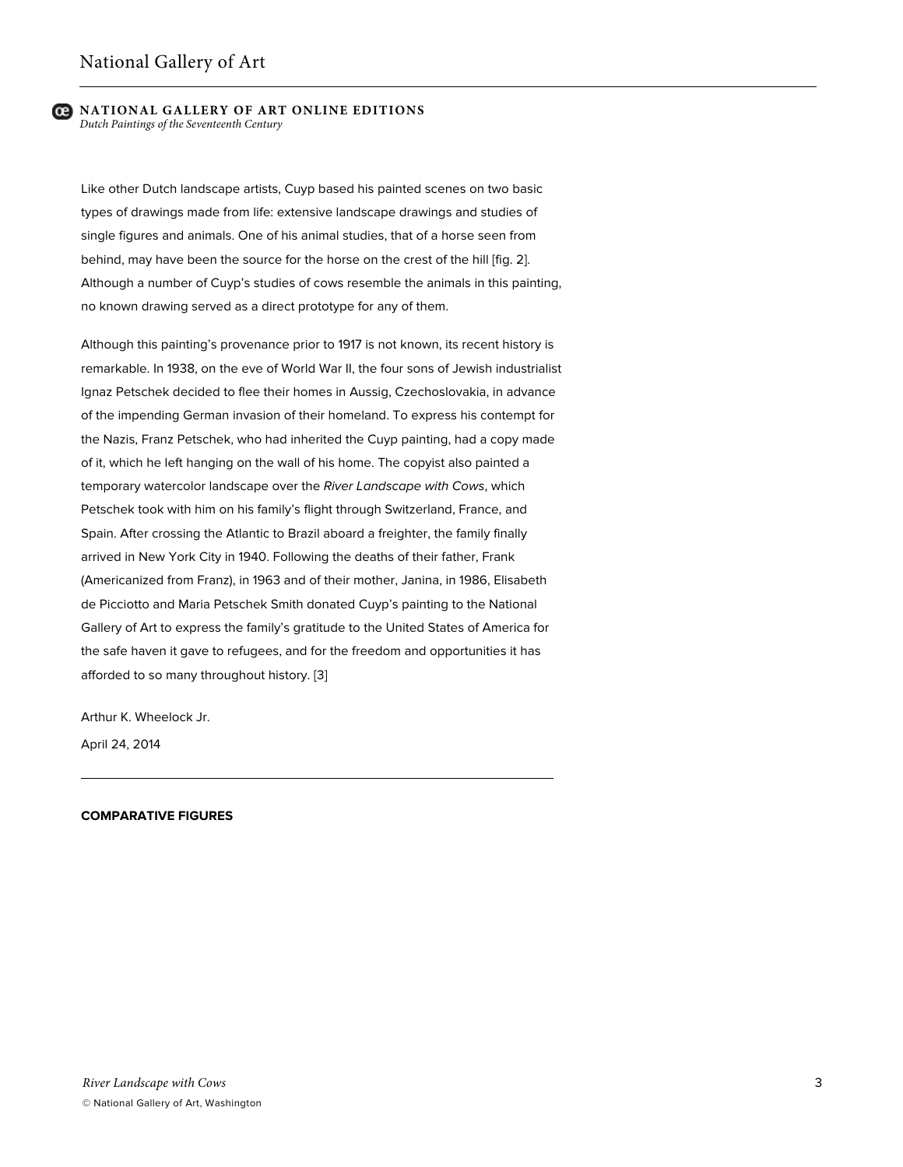Like other Dutch landscape artists, Cuyp based his painted scenes on two basic types of drawings made from life: extensive landscape drawings and studies of single figures and animals. One of his animal studies, that of a horse seen from behind, may have been the source for the horse on the crest of the hill [fig. 2]. Although a number of Cuyp's studies of cows resemble the animals in this painting, no known drawing served as a direct prototype for any of them.

Although this painting's provenance prior to 1917 is not known, its recent history is remarkable. In 1938, on the eve of World War II, the four sons of Jewish industrialist Ignaz Petschek decided to flee their homes in Aussig, Czechoslovakia, in advance of the impending German invasion of their homeland. To express his contempt for the Nazis, Franz Petschek, who had inherited the Cuyp painting, had a copy made of it, which he left hanging on the wall of his home. The copyist also painted a temporary watercolor landscape over the *River Landscape with Cows*, which Petschek took with him on his family's flight through Switzerland, France, and Spain. After crossing the Atlantic to Brazil aboard a freighter, the family finally arrived in New York City in 1940. Following the deaths of their father, Frank (Americanized from Franz), in 1963 and of their mother, Janina, in 1986, Elisabeth de Picciotto and Maria Petschek Smith donated Cuyp's painting to the National Gallery of Art to express the family's gratitude to the United States of America for the safe haven it gave to refugees, and for the freedom and opportunities it has afforded to so many throughout history. [3]

Arthur K. Wheelock Jr.

April 24, 2014

## **COMPARATIVE FIGURES**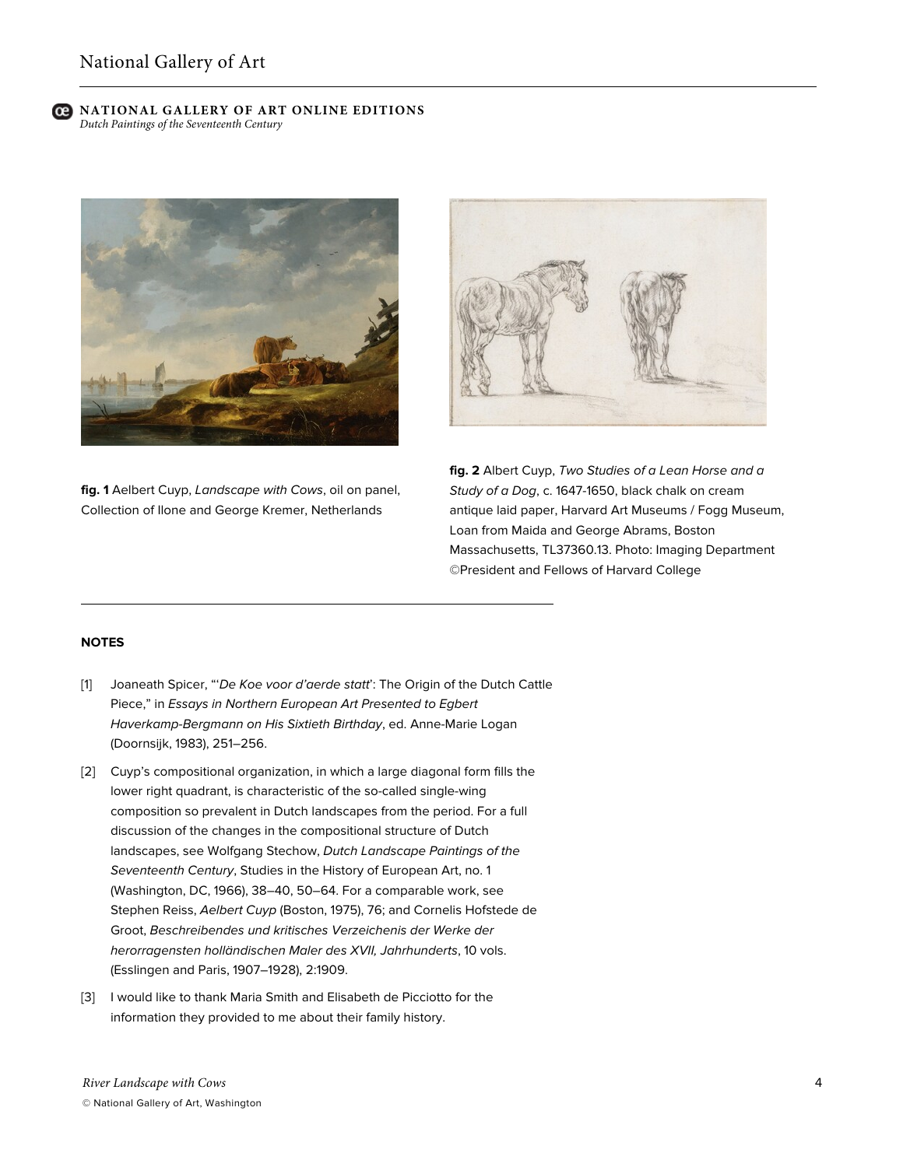

**fig. 1** Aelbert Cuyp, *Landscape with Cows*, oil on panel, Collection of Ilone and George Kremer, Netherlands



**fig. 2** Albert Cuyp, *Two Studies of a Lean Horse and a Study of a Dog*, c. 1647-1650, black chalk on cream antique laid paper, Harvard Art Museums / Fogg Museum, Loan from Maida and George Abrams, Boston Massachusetts, TL37360.13. Photo: Imaging Department ©President and Fellows of Harvard College

## **NOTES**

- [1] Joaneath Spicer, "'*De Koe voor d'aerde statt*': The Origin of the Dutch Cattle Piece," in *Essays in Northern European Art Presented to Egbert Haverkamp-Bergmann on His Sixtieth Birthday*, ed. Anne-Marie Logan (Doornsijk, 1983), 251–256.
- [2] Cuyp's compositional organization, in which a large diagonal form fills the lower right quadrant, is characteristic of the so-called single-wing composition so prevalent in Dutch landscapes from the period. For a full discussion of the changes in the compositional structure of Dutch landscapes, see Wolfgang Stechow, *Dutch Landscape Paintings of the Seventeenth Century*, Studies in the History of European Art, no. 1 (Washington, DC, 1966), 38–40, 50–64. For a comparable work, see Stephen Reiss, *Aelbert Cuyp* (Boston, 1975), 76; and Cornelis Hofstede de Groot, *Beschreibendes und kritisches Verzeichenis der Werke der herorragensten holländischen Maler des XVII, Jahrhunderts*, 10 vols. (Esslingen and Paris, 1907–1928), 2:1909.
- [3] I would like to thank Maria Smith and Elisabeth de Picciotto for the information they provided to me about their family history.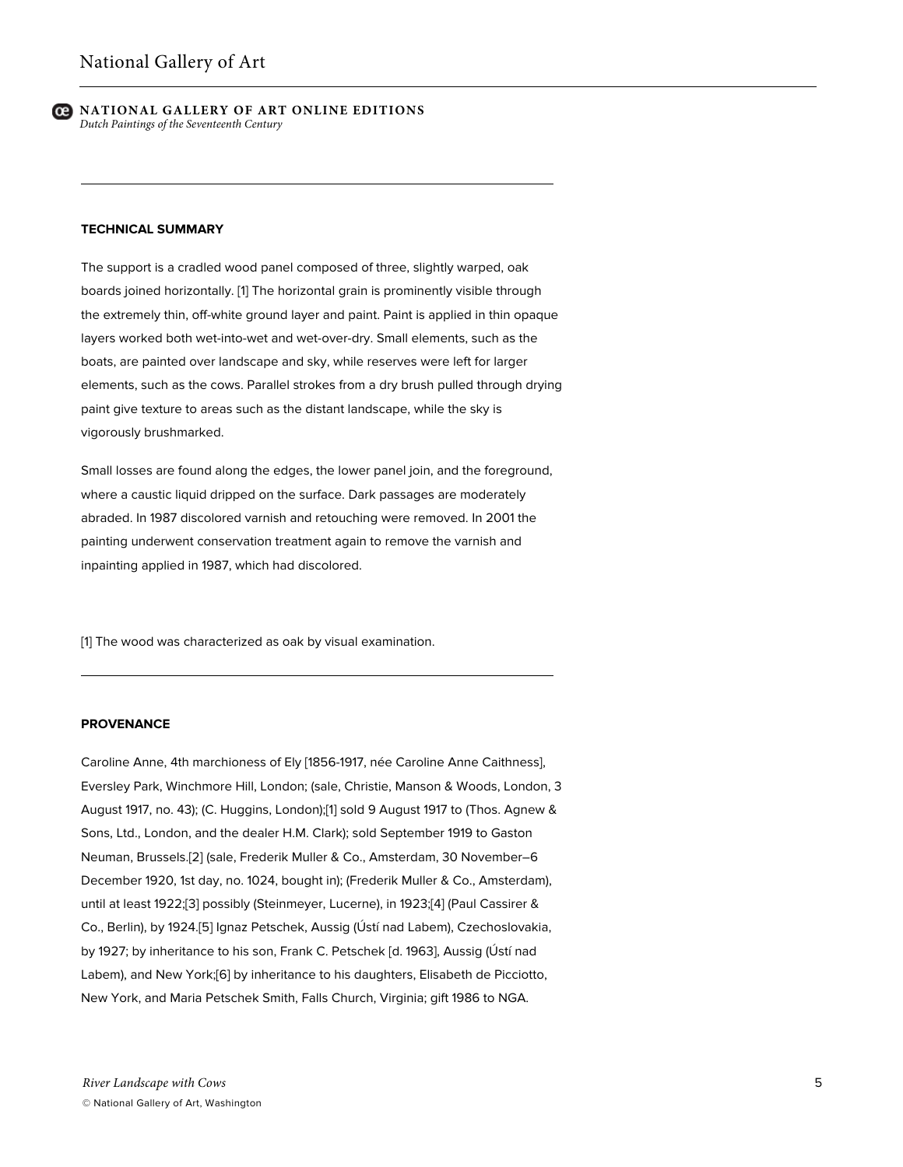

#### **TECHNICAL SUMMARY**

The support is a cradled wood panel composed of three, slightly warped, oak boards joined horizontally. [1] The horizontal grain is prominently visible through the extremely thin, off-white ground layer and paint. Paint is applied in thin opaque layers worked both wet-into-wet and wet-over-dry. Small elements, such as the boats, are painted over landscape and sky, while reserves were left for larger elements, such as the cows. Parallel strokes from a dry brush pulled through drying paint give texture to areas such as the distant landscape, while the sky is vigorously brushmarked.

Small losses are found along the edges, the lower panel join, and the foreground, where a caustic liquid dripped on the surface. Dark passages are moderately abraded. In 1987 discolored varnish and retouching were removed. In 2001 the painting underwent conservation treatment again to remove the varnish and inpainting applied in 1987, which had discolored.

[1] The wood was characterized as oak by visual examination.

## **PROVENANCE**

Caroline Anne, 4th marchioness of Ely [1856-1917, née Caroline Anne Caithness], Eversley Park, Winchmore Hill, London; (sale, Christie, Manson & Woods, London, 3 August 1917, no. 43); (C. Huggins, London);[1] sold 9 August 1917 to (Thos. Agnew & Sons, Ltd., London, and the dealer H.M. Clark); sold September 1919 to Gaston Neuman, Brussels.[2] (sale, Frederik Muller & Co., Amsterdam, 30 November–6 December 1920, 1st day, no. 1024, bought in); (Frederik Muller & Co., Amsterdam), until at least 1922;[3] possibly (Steinmeyer, Lucerne), in 1923;[4] (Paul Cassirer & Co., Berlin), by 1924.[5] Ignaz Petschek, Aussig (Ústí nad Labem), Czechoslovakia, by 1927; by inheritance to his son, Frank C. Petschek [d. 1963], Aussig (Ústí nad Labem), and New York;[6] by inheritance to his daughters, Elisabeth de Picciotto, New York, and Maria Petschek Smith, Falls Church, Virginia; gift 1986 to NGA.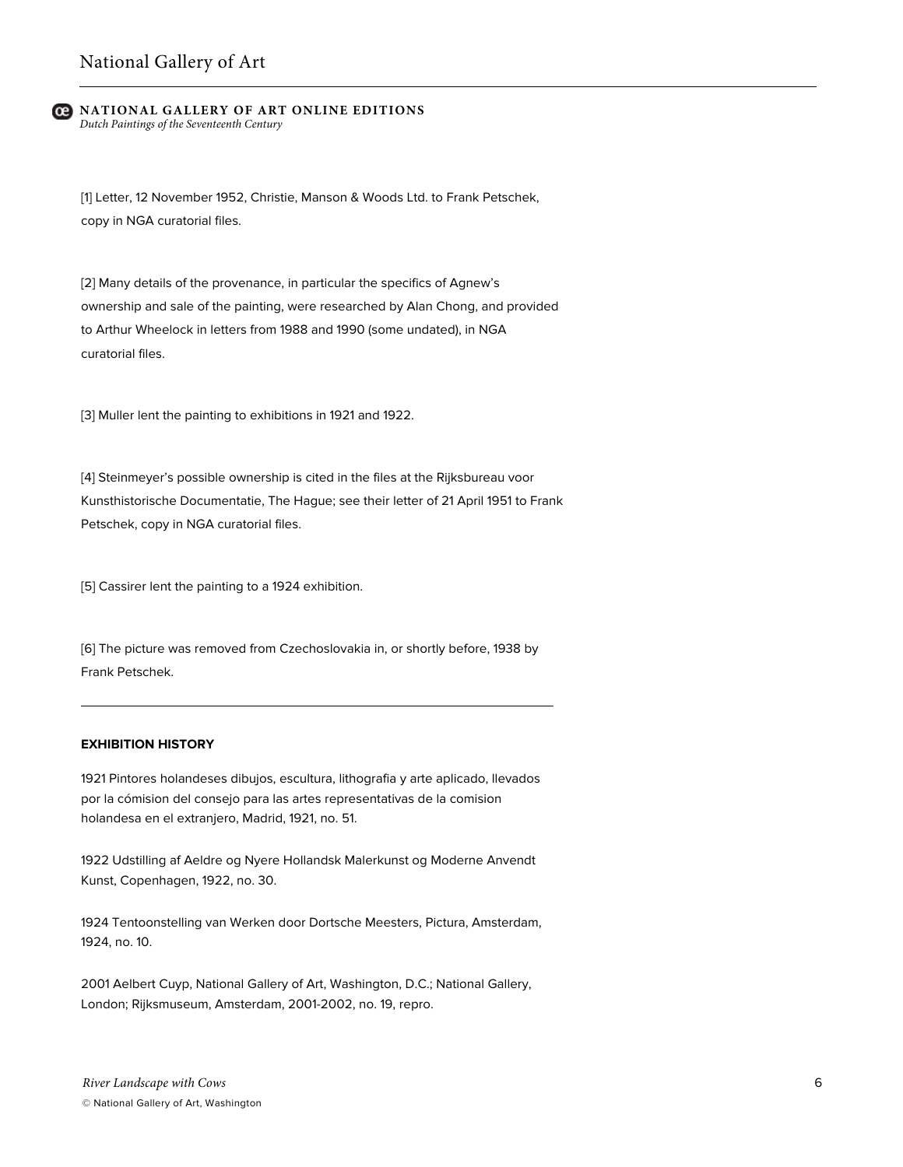[1] Letter, 12 November 1952, Christie, Manson & Woods Ltd. to Frank Petschek, copy in NGA curatorial files.

[2] Many details of the provenance, in particular the specifics of Agnew's ownership and sale of the painting, were researched by Alan Chong, and provided to Arthur Wheelock in letters from 1988 and 1990 (some undated), in NGA curatorial files.

[3] Muller lent the painting to exhibitions in 1921 and 1922.

[4] Steinmeyer's possible ownership is cited in the files at the Rijksbureau voor Kunsthistorische Documentatie, The Hague; see their letter of 21 April 1951 to Frank Petschek, copy in NGA curatorial files.

[5] Cassirer lent the painting to a 1924 exhibition.

[6] The picture was removed from Czechoslovakia in, or shortly before, 1938 by Frank Petschek.

## **EXHIBITION HISTORY**

1921 Pintores holandeses dibujos, escultura, lithografia y arte aplicado, llevados por la cómision del consejo para las artes representativas de la comision holandesa en el extranjero, Madrid, 1921, no. 51.

1922 Udstilling af Aeldre og Nyere Hollandsk Malerkunst og Moderne Anvendt Kunst, Copenhagen, 1922, no. 30.

1924 Tentoonstelling van Werken door Dortsche Meesters, Pictura, Amsterdam, 1924, no. 10.

2001 Aelbert Cuyp, National Gallery of Art, Washington, D.C.; National Gallery, London; Rijksmuseum, Amsterdam, 2001-2002, no. 19, repro.